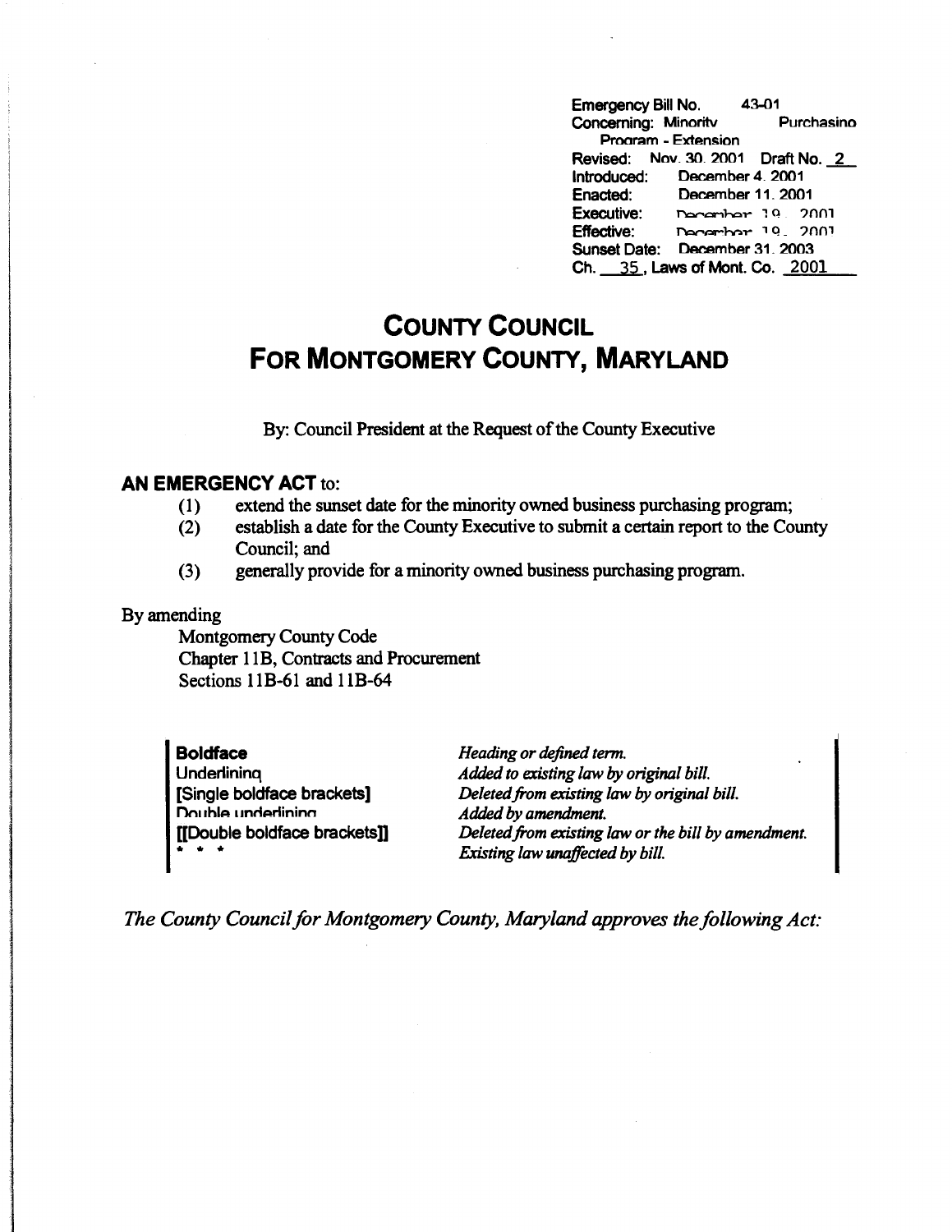Emergency Bill No. 43-01<br>Concerning: Minority Purchasino Concerning: Minority Prooram - Extension Revised: Nov. 30, 2001 Draft No. 2 Introduced: December 4\_ 2001 Enacted: December 11, 2001 Executive: December 19, 2001 **Effective:** ~hr.>,.. 1 Q \_ ?nni Sunset Date: December 31. 2003 Ch. 35, Laws of Mont. Co. 2001

## **COUNTY COUNCIL FOR MONTGOMERY COUNTY, MARYLAND**

By: Council President at the Request of the County Executive

## **AN EMERGENCY ACT** to:

- ( 1) extend the sunset date for the minority owned business purchasing program;
- (2) establish a date for the County Executive to submit a certain report to the County Council; and
- (3) generally provide for a minority owned business purchasing program.

## By amending

Montgomery County Code Chapter 11 B, Contracts and Procurement Sections 11B-61 and 11B-64

| <b>Boldface</b>                                                                             | Heading or defined term.                            |
|---------------------------------------------------------------------------------------------|-----------------------------------------------------|
| Underlining                                                                                 | Added to existing law by original bill.             |
| [Single boldface brackets]                                                                  | Deleted from existing law by original bill.         |
| Double underlining                                                                          | Added by amendment.                                 |
| [[Double boldface brackets]]                                                                | Deleted from existing law or the bill by amendment. |
| $\begin{array}{cccccccccccccc} \bullet & \bullet & \bullet & \bullet & \bullet \end{array}$ | Existing law unaffected by bill.                    |

*The County Council for Montgomery County, Maryland approves the following Act:*